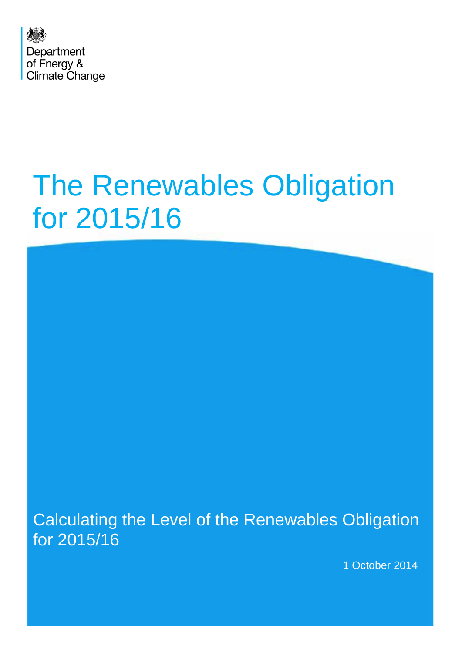

# The Renewables Obligation for 2015/16

Calculating the Level of the Renewables Obligation for 2015/16

1 October 2014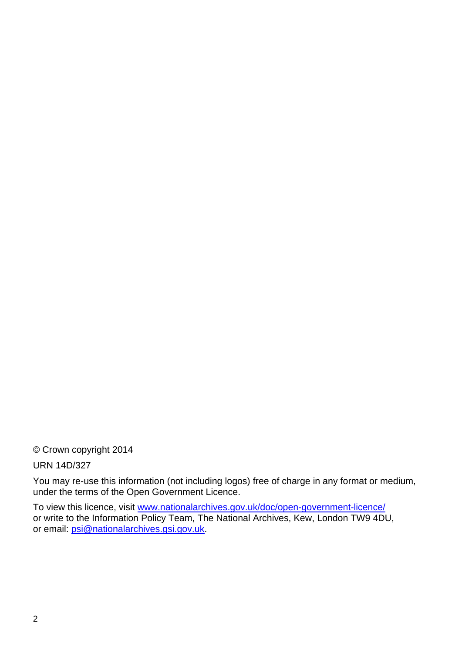© Crown copyright 2014

URN 14D/327

You may re-use this information (not including logos) free of charge in any format or medium, under the terms of the Open Government Licence.

To view this licence, visit [www.nationalarchives.gov.uk/doc/open-government-licence/](http://www.nationalarchives.gov.uk/doc/open-government-licence/) or write to the Information Policy Team, The National Archives, Kew, London TW9 4DU, or email: [psi@nationalarchives.gsi.gov.uk.](mailto:psi@nationalarchives.gsi.gov.uk)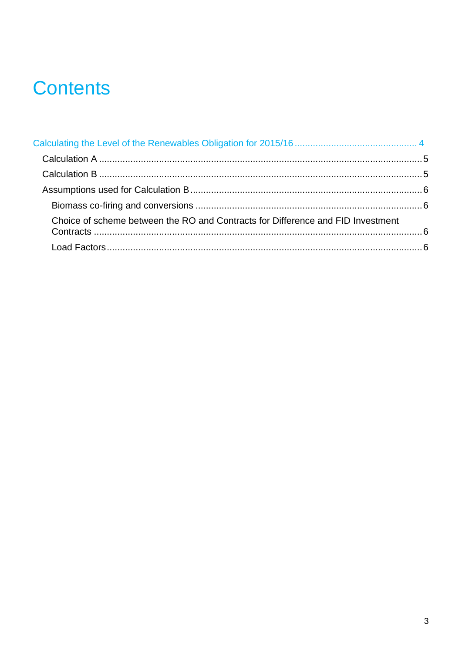# **Contents**

| Choice of scheme between the RO and Contracts for Difference and FID Investment |  |
|---------------------------------------------------------------------------------|--|
|                                                                                 |  |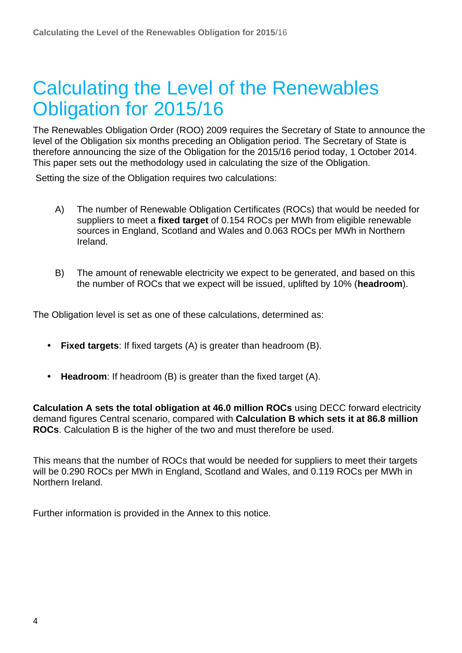# Calculating the Level of the Renewables Obligation for 2015/16

The Renewables Obligation Order (ROO) 2009 requires the Secretary of State to announce the level of the Obligation six months preceding an Obligation period. The Secretary of State is therefore announcing the size of the Obligation for the 2015/16 period today, 1 October 2014. This paper sets out the methodology used in calculating the size of the Obligation.

Setting the size of the Obligation requires two calculations:

- A) The number of Renewable Obligation Certificates (ROCs) that would be needed for suppliers to meet a **fixed target** of 0.154 ROCs per MWh from eligible renewable sources in England, Scotland and Wales and 0.063 ROCs per MWh in Northern Ireland.
- B) The amount of renewable electricity we expect to be generated, and based on this the number of ROCs that we expect will be issued, uplifted by 10% (**headroom**).

The Obligation level is set as one of these calculations, determined as:

- **Fixed targets**: If fixed targets (A) is greater than headroom (B).
- **Headroom**: If headroom (B) is greater than the fixed target (A).

**Calculation A sets the total obligation at 46.0 million ROCs** using DECC forward electricity demand figures Central scenario, compared with **Calculation B which sets it at 86.8 million ROCs**. Calculation B is the higher of the two and must therefore be used.

This means that the number of ROCs that would be needed for suppliers to meet their targets will be 0.290 ROCs per MWh in England, Scotland and Wales, and 0.119 ROCs per MWh in Northern Ireland.

Further information is provided in the Annex to this notice.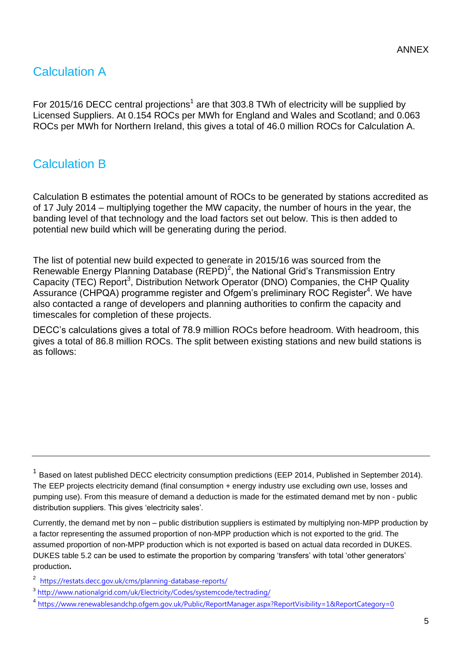# Calculation A

For 2015/16 DECC central projections<sup>1</sup> are that 303.8 TWh of electricity will be supplied by Licensed Suppliers. At 0.154 ROCs per MWh for England and Wales and Scotland; and 0.063 ROCs per MWh for Northern Ireland, this gives a total of 46.0 million ROCs for Calculation A.

## Calculation B

Calculation B estimates the potential amount of ROCs to be generated by stations accredited as of 17 July 2014 – multiplying together the MW capacity, the number of hours in the year, the banding level of that technology and the load factors set out below. This is then added to potential new build which will be generating during the period.

The list of potential new build expected to generate in 2015/16 was sourced from the Renewable Energy Planning Database ( $REPD$ )<sup>2</sup>, the National Grid's Transmission Entry Capacity (TEC) Report<sup>3</sup>, Distribution Network Operator (DNO) Companies, the CHP Quality Assurance (CHPQA) programme register and Ofgem's preliminary ROC Register<sup>4</sup>. We have also contacted a range of developers and planning authorities to confirm the capacity and timescales for completion of these projects.

DECC's calculations gives a total of 78.9 million ROCs before headroom. With headroom, this gives a total of 86.8 million ROCs. The split between existing stations and new build stations is as follows:

Currently, the demand met by non – public distribution suppliers is estimated by multiplying non-MPP production by a factor representing the assumed proportion of non-MPP production which is not exported to the grid. The assumed proportion of non-MPP production which is not exported is based on actual data recorded in DUKES. DUKES table 5.2 can be used to estimate the proportion by comparing 'transfers' with total 'other generators' production**.** 

<sup>2</sup> <https://restats.decc.gov.uk/cms/planning-database-reports/>

 $1$  Based on latest published DECC electricity consumption predictions (EEP 2014, Published in September 2014). The EEP projects electricity demand (final consumption + energy industry use excluding own use, losses and pumping use). From this measure of demand a deduction is made for the estimated demand met by non - public distribution suppliers. This gives 'electricity sales'.

<sup>&</sup>lt;sup>3</sup> <http://www.nationalgrid.com/uk/Electricity/Codes/systemcode/tectrading/>

<sup>4</sup> <https://www.renewablesandchp.ofgem.gov.uk/Public/ReportManager.aspx?ReportVisibility=1&ReportCategory=0>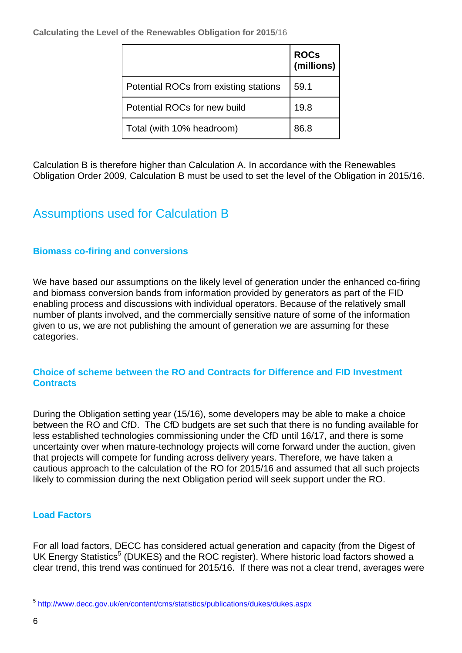**Calculating the Level of the Renewables Obligation for 2015**/16

|                                       | <b>ROCs</b><br>(millions) |
|---------------------------------------|---------------------------|
| Potential ROCs from existing stations | 59.1                      |
| Potential ROCs for new build          | 19.8                      |
| Total (with 10% headroom)             | 86.8                      |

Calculation B is therefore higher than Calculation A. In accordance with the Renewables Obligation Order 2009, Calculation B must be used to set the level of the Obligation in 2015/16.

## Assumptions used for Calculation B

#### **Biomass co-firing and conversions**

We have based our assumptions on the likely level of generation under the enhanced co-firing and biomass conversion bands from information provided by generators as part of the FID enabling process and discussions with individual operators. Because of the relatively small number of plants involved, and the commercially sensitive nature of some of the information given to us, we are not publishing the amount of generation we are assuming for these categories.

#### **Choice of scheme between the RO and Contracts for Difference and FID Investment Contracts**

During the Obligation setting year (15/16), some developers may be able to make a choice between the RO and CfD. The CfD budgets are set such that there is no funding available for less established technologies commissioning under the CfD until 16/17, and there is some uncertainty over when mature-technology projects will come forward under the auction, given that projects will compete for funding across delivery years. Therefore, we have taken a cautious approach to the calculation of the RO for 2015/16 and assumed that all such projects likely to commission during the next Obligation period will seek support under the RO.

### **Load Factors**

For all load factors, DECC has considered actual generation and capacity (from the Digest of UK Energy Statistics<sup>5</sup> (DUKES) and the ROC register). Where historic load factors showed a clear trend, this trend was continued for 2015/16. If there was not a clear trend, averages were

<sup>&</sup>lt;sup>5</sup> <http://www.decc.gov.uk/en/content/cms/statistics/publications/dukes/dukes.aspx>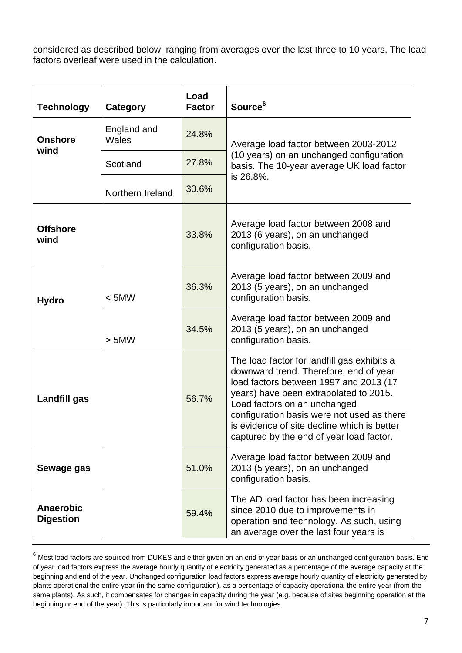considered as described below, ranging from averages over the last three to 10 years. The load factors overleaf were used in the calculation.

| <b>Technology</b>                    | Category             | Load<br><b>Factor</b> | Source <sup>6</sup>                                                                                                                                                                                                                                                                                                                                |  |
|--------------------------------------|----------------------|-----------------------|----------------------------------------------------------------------------------------------------------------------------------------------------------------------------------------------------------------------------------------------------------------------------------------------------------------------------------------------------|--|
| <b>Onshore</b><br>wind               | England and<br>Wales | 24.8%                 | Average load factor between 2003-2012                                                                                                                                                                                                                                                                                                              |  |
|                                      | Scotland             | 27.8%                 | (10 years) on an unchanged configuration<br>basis. The 10-year average UK load factor                                                                                                                                                                                                                                                              |  |
|                                      | Northern Ireland     | 30.6%                 | is 26.8%.                                                                                                                                                                                                                                                                                                                                          |  |
| <b>Offshore</b><br>wind              |                      | 33.8%                 | Average load factor between 2008 and<br>2013 (6 years), on an unchanged<br>configuration basis.                                                                                                                                                                                                                                                    |  |
| <b>Hydro</b>                         | < 5MW                | 36.3%                 | Average load factor between 2009 and<br>2013 (5 years), on an unchanged<br>configuration basis.                                                                                                                                                                                                                                                    |  |
|                                      | > 5MW                | 34.5%                 | Average load factor between 2009 and<br>2013 (5 years), on an unchanged<br>configuration basis.                                                                                                                                                                                                                                                    |  |
| Landfill gas                         |                      | 56.7%                 | The load factor for landfill gas exhibits a<br>downward trend. Therefore, end of year<br>load factors between 1997 and 2013 (17<br>years) have been extrapolated to 2015.<br>Load factors on an unchanged<br>configuration basis were not used as there<br>is evidence of site decline which is better<br>captured by the end of year load factor. |  |
| Sewage gas                           |                      | 51.0%                 | Average load factor between 2009 and<br>2013 (5 years), on an unchanged<br>configuration basis.                                                                                                                                                                                                                                                    |  |
| <b>Anaerobic</b><br><b>Digestion</b> |                      | 59.4%                 | The AD load factor has been increasing<br>since 2010 due to improvements in<br>operation and technology. As such, using<br>an average over the last four years is                                                                                                                                                                                  |  |

 $6$  Most load factors are sourced from DUKES and either given on an end of year basis or an unchanged configuration basis. End of year load factors express the average hourly quantity of electricity generated as a percentage of the average capacity at the beginning and end of the year. Unchanged configuration load factors express average hourly quantity of electricity generated by plants operational the entire year (in the same configuration), as a percentage of capacity operational the entire year (from the same plants). As such, it compensates for changes in capacity during the year (e.g. because of sites beginning operation at the beginning or end of the year). This is particularly important for wind technologies.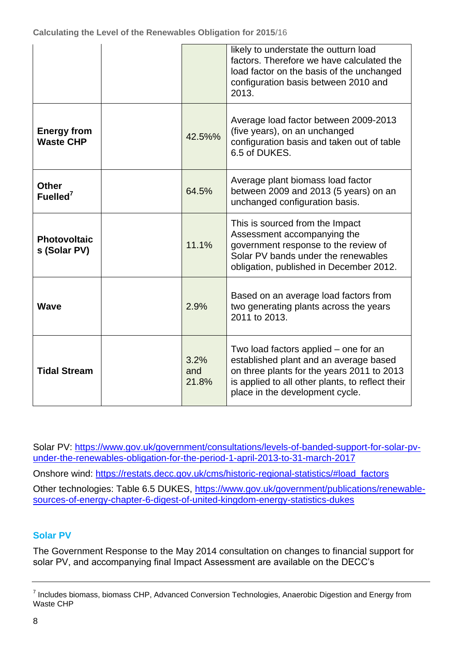|                                        |                      | likely to understate the outturn load<br>factors. Therefore we have calculated the<br>load factor on the basis of the unchanged<br>configuration basis between 2010 and<br>2013.                                     |
|----------------------------------------|----------------------|----------------------------------------------------------------------------------------------------------------------------------------------------------------------------------------------------------------------|
| <b>Energy from</b><br><b>Waste CHP</b> | 42.5%%               | Average load factor between 2009-2013<br>(five years), on an unchanged<br>configuration basis and taken out of table<br>6.5 of DUKES.                                                                                |
| <b>Other</b><br>Fuelled $7$            | 64.5%                | Average plant biomass load factor<br>between 2009 and 2013 (5 years) on an<br>unchanged configuration basis.                                                                                                         |
| <b>Photovoltaic</b><br>s (Solar PV)    | 11.1%                | This is sourced from the Impact<br>Assessment accompanying the<br>government response to the review of<br>Solar PV bands under the renewables<br>obligation, published in December 2012.                             |
| <b>Wave</b>                            | 2.9%                 | Based on an average load factors from<br>two generating plants across the years<br>2011 to 2013.                                                                                                                     |
| <b>Tidal Stream</b>                    | 3.2%<br>and<br>21.8% | Two load factors applied – one for an<br>established plant and an average based<br>on three plants for the years 2011 to 2013<br>is applied to all other plants, to reflect their<br>place in the development cycle. |

Solar PV: [https://www.gov.uk/government/consultations/levels-of-banded-support-for-solar-pv](https://www.gov.uk/government/consultations/levels-of-banded-support-for-solar-pv-under-the-renewables-obligation-for-the-period-1-april-2013-to-31-march-2017)[under-the-renewables-obligation-for-the-period-1-april-2013-to-31-march-2017](https://www.gov.uk/government/consultations/levels-of-banded-support-for-solar-pv-under-the-renewables-obligation-for-the-period-1-april-2013-to-31-march-2017)

Onshore wind: [https://restats.decc.gov.uk/cms/historic-regional-statistics/#load\\_factors](https://restats.decc.gov.uk/cms/historic-regional-statistics/#load_factors) Other technologies: Table 6.5 DUKES, [https://www.gov.uk/government/publications/renewable](https://www.gov.uk/government/publications/renewable-sources-of-energy-chapter-6-digest-of-united-kingdom-energy-statistics-dukes)[sources-of-energy-chapter-6-digest-of-united-kingdom-energy-statistics-dukes](https://www.gov.uk/government/publications/renewable-sources-of-energy-chapter-6-digest-of-united-kingdom-energy-statistics-dukes)

### **Solar PV**

The Government Response to the May 2014 consultation on changes to financial support for solar PV, and accompanying final Impact Assessment are available on the DECC's

 $^7$  Includes biomass, biomass CHP, Advanced Conversion Technologies, Anaerobic Digestion and Energy from Waste CHP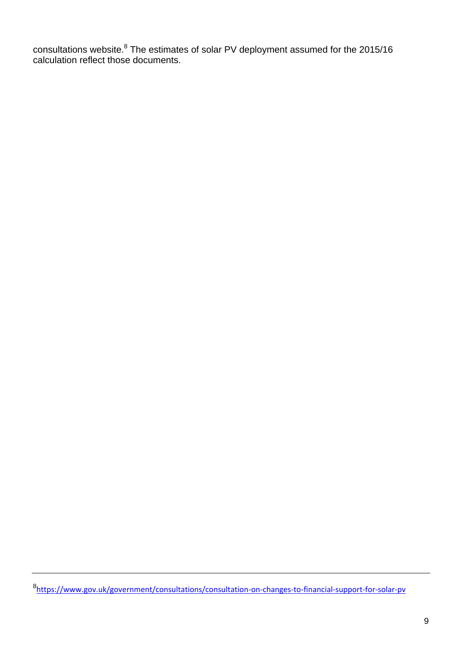consultations website. $8$  The estimates of solar PV deployment assumed for the 2015/16 calculation reflect those documents.

8 <https://www.gov.uk/government/consultations/consultation-on-changes-to-financial-support-for-solar-pv>